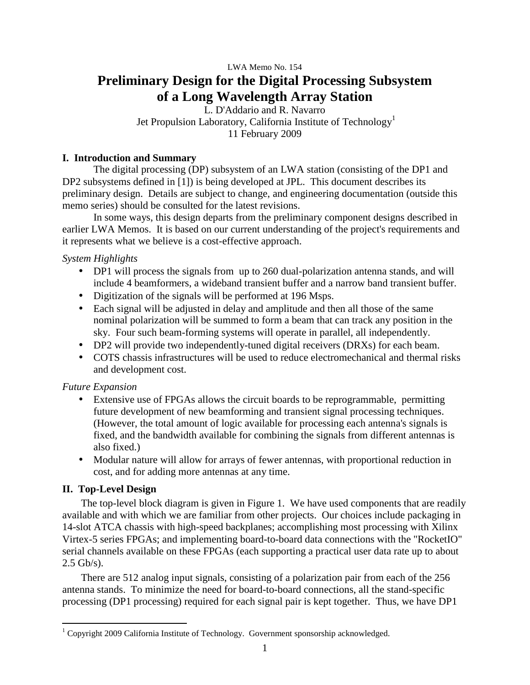# LWA Memo No. 154 **Preliminary Design for the Digital Processing Subsystem of a Long Wavelength Array Station**

L. D'Addario and R. Navarro Jet Propulsion Laboratory, California Institute of Technology<sup>1</sup> 11 February 2009

## **I. Introduction and Summary**

The digital processing (DP) subsystem of an LWA station (consisting of the DP1 and DP2 subsystems defined in [1]) is being developed at JPL. This document describes its preliminary design. Details are subject to change, and engineering documentation (outside this memo series) should be consulted for the latest revisions.

In some ways, this design departs from the preliminary component designs described in earlier LWA Memos. It is based on our current understanding of the project's requirements and it represents what we believe is a cost-effective approach.

## *System Highlights*

- DP1 will process the signals from up to 260 dual-polarization antenna stands, and will include 4 beamformers, a wideband transient buffer and a narrow band transient buffer.
- Digitization of the signals will be performed at 196 Msps.
- Each signal will be adjusted in delay and amplitude and then all those of the same nominal polarization will be summed to form a beam that can track any position in the sky. Four such beam-forming systems will operate in parallel, all independently.
- DP2 will provide two independently-tuned digital receivers (DRXs) for each beam.
- COTS chassis infrastructures will be used to reduce electromechanical and thermal risks and development cost.

## *Future Expansion*

- Extensive use of FPGAs allows the circuit boards to be reprogrammable, permitting future development of new beamforming and transient signal processing techniques. (However, the total amount of logic available for processing each antenna's signals is fixed, and the bandwidth available for combining the signals from different antennas is also fixed.)
- Modular nature will allow for arrays of fewer antennas, with proportional reduction in cost, and for adding more antennas at any time.

## **II. Top-Level Design**

 $\overline{a}$ 

The top-level block diagram is given in Figure 1. We have used components that are readily available and with which we are familiar from other projects. Our choices include packaging in 14-slot ATCA chassis with high-speed backplanes; accomplishing most processing with Xilinx Virtex-5 series FPGAs; and implementing board-to-board data connections with the "RocketIO" serial channels available on these FPGAs (each supporting a practical user data rate up to about  $2.5$  Gb/s).

There are 512 analog input signals, consisting of a polarization pair from each of the 256 antenna stands. To minimize the need for board-to-board connections, all the stand-specific processing (DP1 processing) required for each signal pair is kept together. Thus, we have DP1

<sup>&</sup>lt;sup>1</sup> Copyright 2009 California Institute of Technology. Government sponsorship acknowledged.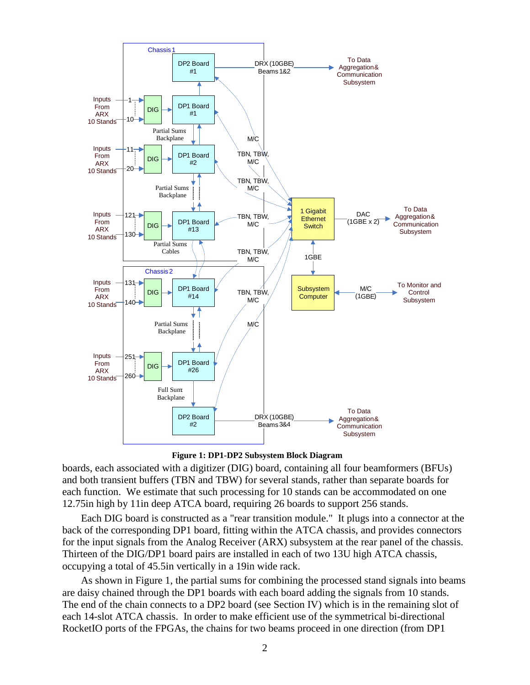

**Figure 1: DP1-DP2 Subsystem Block Diagram** 

boards, each associated with a digitizer (DIG) board, containing all four beamformers (BFUs) and both transient buffers (TBN and TBW) for several stands, rather than separate boards for each function. We estimate that such processing for 10 stands can be accommodated on one 12.75in high by 11in deep ATCA board, requiring 26 boards to support 256 stands.

Each DIG board is constructed as a "rear transition module." It plugs into a connector at the back of the corresponding DP1 board, fitting within the ATCA chassis, and provides connectors for the input signals from the Analog Receiver (ARX) subsystem at the rear panel of the chassis. Thirteen of the DIG/DP1 board pairs are installed in each of two 13U high ATCA chassis, occupying a total of 45.5in vertically in a 19in wide rack.

As shown in Figure 1, the partial sums for combining the processed stand signals into beams are daisy chained through the DP1 boards with each board adding the signals from 10 stands. The end of the chain connects to a DP2 board (see Section IV) which is in the remaining slot of each 14-slot ATCA chassis. In order to make efficient use of the symmetrical bi-directional RocketIO ports of the FPGAs, the chains for two beams proceed in one direction (from DP1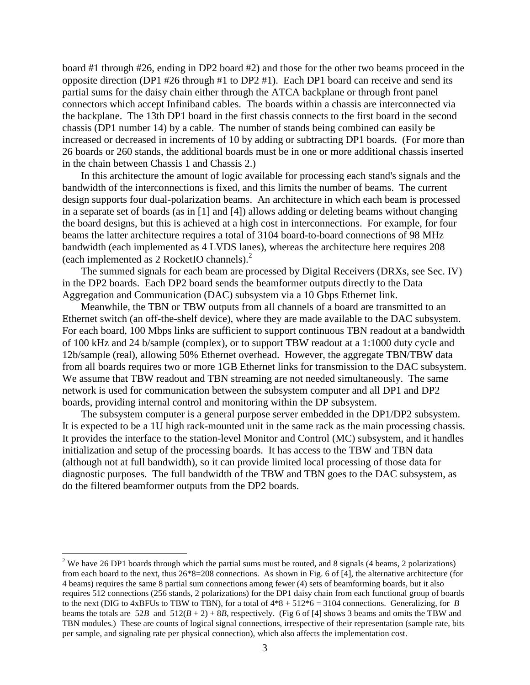board #1 through #26, ending in DP2 board #2) and those for the other two beams proceed in the opposite direction (DP1 #26 through #1 to DP2 #1). Each DP1 board can receive and send its partial sums for the daisy chain either through the ATCA backplane or through front panel connectors which accept Infiniband cables. The boards within a chassis are interconnected via the backplane. The 13th DP1 board in the first chassis connects to the first board in the second chassis (DP1 number 14) by a cable. The number of stands being combined can easily be increased or decreased in increments of 10 by adding or subtracting DP1 boards. (For more than 26 boards or 260 stands, the additional boards must be in one or more additional chassis inserted in the chain between Chassis 1 and Chassis 2.)

In this architecture the amount of logic available for processing each stand's signals and the bandwidth of the interconnections is fixed, and this limits the number of beams. The current design supports four dual-polarization beams. An architecture in which each beam is processed in a separate set of boards (as in [1] and [4]) allows adding or deleting beams without changing the board designs, but this is achieved at a high cost in interconnections. For example, for four beams the latter architecture requires a total of 3104 board-to-board connections of 98 MHz bandwidth (each implemented as 4 LVDS lanes), whereas the architecture here requires 208 (each implemented as 2 RocketIO channels).<sup>2</sup>

The summed signals for each beam are processed by Digital Receivers (DRXs, see Sec. IV) in the DP2 boards. Each DP2 board sends the beamformer outputs directly to the Data Aggregation and Communication (DAC) subsystem via a 10 Gbps Ethernet link.

Meanwhile, the TBN or TBW outputs from all channels of a board are transmitted to an Ethernet switch (an off-the-shelf device), where they are made available to the DAC subsystem. For each board, 100 Mbps links are sufficient to support continuous TBN readout at a bandwidth of 100 kHz and 24 b/sample (complex), or to support TBW readout at a 1:1000 duty cycle and 12b/sample (real), allowing 50% Ethernet overhead. However, the aggregate TBN/TBW data from all boards requires two or more 1GB Ethernet links for transmission to the DAC subsystem. We assume that TBW readout and TBN streaming are not needed simultaneously. The same network is used for communication between the subsystem computer and all DP1 and DP2 boards, providing internal control and monitoring within the DP subsystem.

The subsystem computer is a general purpose server embedded in the DP1/DP2 subsystem. It is expected to be a 1U high rack-mounted unit in the same rack as the main processing chassis. It provides the interface to the station-level Monitor and Control (MC) subsystem, and it handles initialization and setup of the processing boards. It has access to the TBW and TBN data (although not at full bandwidth), so it can provide limited local processing of those data for diagnostic purposes. The full bandwidth of the TBW and TBN goes to the DAC subsystem, as do the filtered beamformer outputs from the DP2 boards.

 $\overline{a}$ 

<sup>&</sup>lt;sup>2</sup> We have 26 DP1 boards through which the partial sums must be routed, and 8 signals (4 beams, 2 polarizations) from each board to the next, thus 26\*8=208 connections. As shown in Fig. 6 of [4], the alternative architecture (for 4 beams) requires the same 8 partial sum connections among fewer (4) sets of beamforming boards, but it also requires 512 connections (256 stands, 2 polarizations) for the DP1 daisy chain from each functional group of boards to the next (DIG to  $4xBFUs$  to TBW to TBN), for a total of  $4*8 + 512*6 = 3104$  connections. Generalizing, for *B* beams the totals are  $52B$  and  $512(B+2) + 8B$ , respectively. (Fig 6 of [4] shows 3 beams and omits the TBW and TBN modules.) These are counts of logical signal connections, irrespective of their representation (sample rate, bits per sample, and signaling rate per physical connection), which also affects the implementation cost.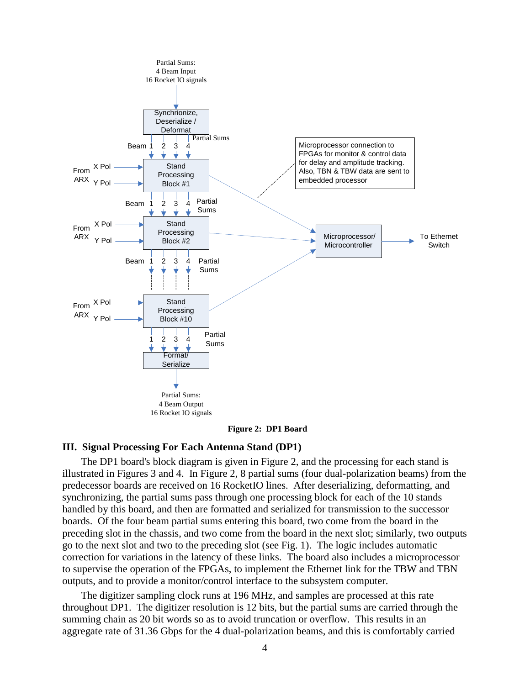

**Figure 2: DP1 Board** 

## **III. Signal Processing For Each Antenna Stand (DP1)**

The DP1 board's block diagram is given in Figure 2, and the processing for each stand is illustrated in Figures 3 and 4. In Figure 2, 8 partial sums (four dual-polarization beams) from the predecessor boards are received on 16 RocketIO lines. After deserializing, deformatting, and synchronizing, the partial sums pass through one processing block for each of the 10 stands handled by this board, and then are formatted and serialized for transmission to the successor boards. Of the four beam partial sums entering this board, two come from the board in the preceding slot in the chassis, and two come from the board in the next slot; similarly, two outputs go to the next slot and two to the preceding slot (see Fig. 1). The logic includes automatic correction for variations in the latency of these links. The board also includes a microprocessor to supervise the operation of the FPGAs, to implement the Ethernet link for the TBW and TBN outputs, and to provide a monitor/control interface to the subsystem computer.

The digitizer sampling clock runs at 196 MHz, and samples are processed at this rate throughout DP1. The digitizer resolution is 12 bits, but the partial sums are carried through the summing chain as 20 bit words so as to avoid truncation or overflow. This results in an aggregate rate of 31.36 Gbps for the 4 dual-polarization beams, and this is comfortably carried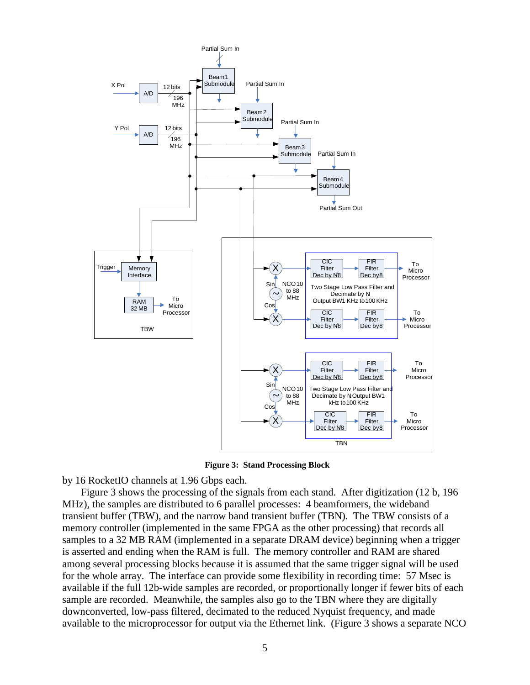

: **Figure 3: Stand Processing Block** 

by 16 RocketIO channels at 1.96 Gbps each.

Figure 3 shows the processing of the signals from each stand. After digitization (12 b, 196 MHz), the samples are distributed to 6 parallel processes: 4 beamformers, the wideband transient buffer (TBW), and the narrow band transient buffer (TBN). The TBW consists of a memory controller (implemented in the same FPGA as the other processing) that records all samples to a 32 MB RAM (implemented in a separate DRAM device) beginning when a trigger is asserted and ending when the RAM is full. The memory controller and RAM are shared among several processing blocks because it is assumed that the same trigger signal will be used for the whole array. The interface can provide some flexibility in recording time: 57 Msec is available if the full 12b-wide samples are recorded, or proportionally longer if fewer bits of each sample are recorded. Meanwhile, the samples also go to the TBN where they are digitally downconverted, low-pass filtered, decimated to the reduced Nyquist frequency, and made available to the microprocessor for output via the Ethernet link. (Figure 3 shows a separate NCO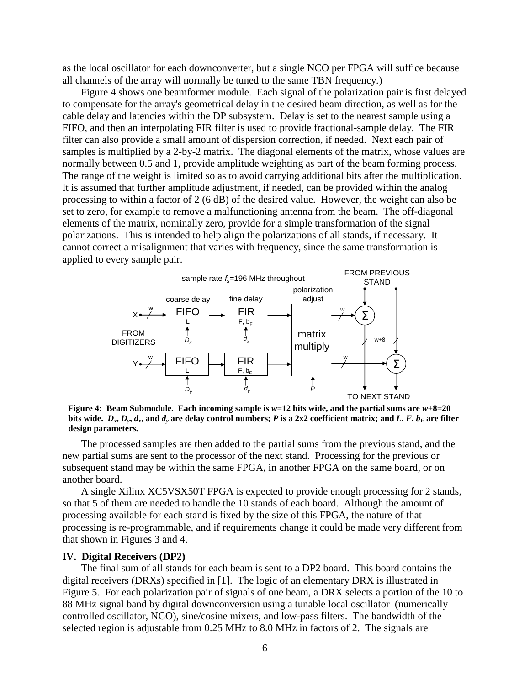as the local oscillator for each downconverter, but a single NCO per FPGA will suffice because all channels of the array will normally be tuned to the same TBN frequency.)

Figure 4 shows one beamformer module. Each signal of the polarization pair is first delayed to compensate for the array's geometrical delay in the desired beam direction, as well as for the cable delay and latencies within the DP subsystem. Delay is set to the nearest sample using a FIFO, and then an interpolating FIR filter is used to provide fractional-sample delay. The FIR filter can also provide a small amount of dispersion correction, if needed. Next each pair of samples is multiplied by a 2-by-2 matrix. The diagonal elements of the matrix, whose values are normally between 0.5 and 1, provide amplitude weighting as part of the beam forming process. The range of the weight is limited so as to avoid carrying additional bits after the multiplication. It is assumed that further amplitude adjustment, if needed, can be provided within the analog processing to within a factor of 2 (6 dB) of the desired value. However, the weight can also be set to zero, for example to remove a malfunctioning antenna from the beam. The off-diagonal elements of the matrix, nominally zero, provide for a simple transformation of the signal polarizations. This is intended to help align the polarizations of all stands, if necessary. It cannot correct a misalignment that varies with frequency, since the same transformation is applied to every sample pair.



**Figure 4: Beam Submodule. Each incoming sample is** *w***=12 bits wide, and the partial sums are** *w***+8=20**  bits wide.  $D_x, D_y, d_x$ , and  $d_y$  are delay control numbers; P is a 2x2 coefficient matrix; and L, F,  $b_F$  are filter **design parameters.** 

The processed samples are then added to the partial sums from the previous stand, and the new partial sums are sent to the processor of the next stand. Processing for the previous or subsequent stand may be within the same FPGA, in another FPGA on the same board, or on another board.

A single Xilinx XC5VSX50T FPGA is expected to provide enough processing for 2 stands, so that 5 of them are needed to handle the 10 stands of each board. Although the amount of processing available for each stand is fixed by the size of this FPGA, the nature of that processing is re-programmable, and if requirements change it could be made very different from that shown in Figures 3 and 4.

#### **IV. Digital Receivers (DP2)**

The final sum of all stands for each beam is sent to a DP2 board. This board contains the digital receivers (DRXs) specified in [1]. The logic of an elementary DRX is illustrated in Figure 5. For each polarization pair of signals of one beam, a DRX selects a portion of the 10 to 88 MHz signal band by digital downconversion using a tunable local oscillator (numerically controlled oscillator, NCO), sine/cosine mixers, and low-pass filters. The bandwidth of the selected region is adjustable from 0.25 MHz to 8.0 MHz in factors of 2. The signals are